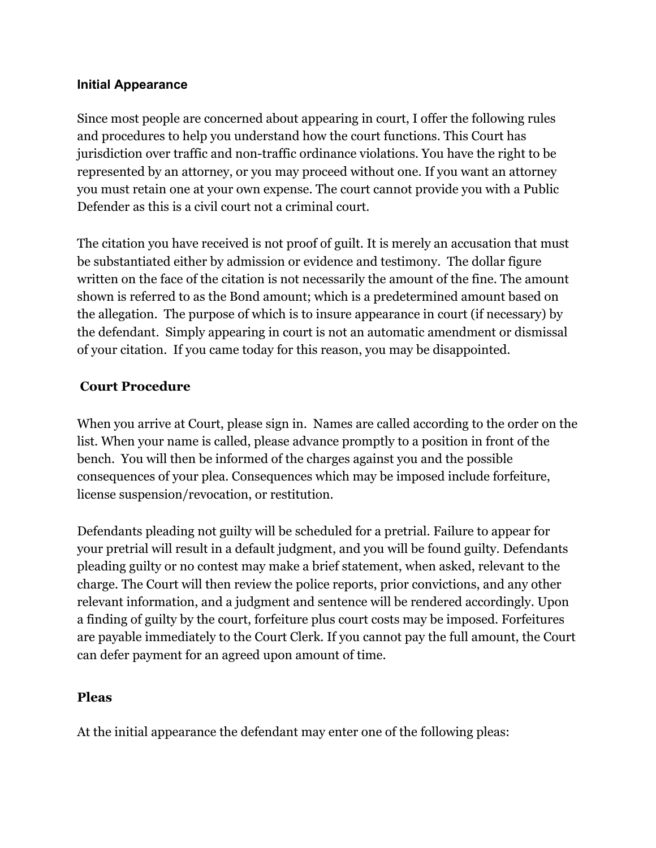## **Initial Appearance**

Since most people are concerned about appearing in court, I offer the following rules and procedures to help you understand how the court functions. This Court has jurisdiction over traffic and non-traffic ordinance violations. You have the right to be represented by an attorney, or you may proceed without one. If you want an attorney you must retain one at your own expense. The court cannot provide you with a Public Defender as this is a civil court not a criminal court.

The citation you have received is not proof of guilt. It is merely an accusation that must be substantiated either by admission or evidence and testimony. The dollar figure written on the face of the citation is not necessarily the amount of the fine. The amount shown is referred to as the Bond amount; which is a predetermined amount based on the allegation. The purpose of which is to insure appearance in court (if necessary) by the defendant. Simply appearing in court is not an automatic amendment or dismissal of your citation. If you came today for this reason, you may be disappointed.

## **Court Procedure**

When you arrive at Court, please sign in. Names are called according to the order on the list. When your name is called, please advance promptly to a position in front of the bench. You will then be informed of the charges against you and the possible consequences of your plea. Consequences which may be imposed include forfeiture, license suspension/revocation, or restitution.

Defendants pleading not guilty will be scheduled for a pretrial. Failure to appear for your pretrial will result in a default judgment, and you will be found guilty. Defendants pleading guilty or no contest may make a brief statement, when asked, relevant to the charge. The Court will then review the police reports, prior convictions, and any other relevant information, and a judgment and sentence will be rendered accordingly. Upon a finding of guilty by the court, forfeiture plus court costs may be imposed. Forfeitures are payable immediately to the Court Clerk. If you cannot pay the full amount, the Court can defer payment for an agreed upon amount of time.

## **Pleas**

At the initial appearance the defendant may enter one of the following pleas: